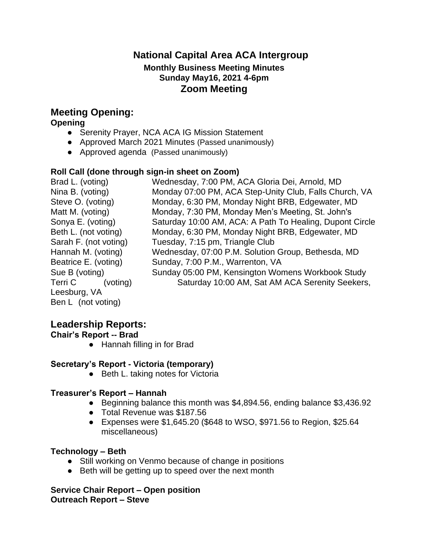## **National Capital Area ACA Intergroup Monthly Business Meeting Minutes Sunday May16, 2021 4-6pm Zoom Meeting**

# **Meeting Opening:**

**Opening**

- Serenity Prayer, NCA ACA IG Mission Statement
- Approved March 2021 Minutes (Passed unanimously)
- Approved agenda (Passed unanimously)

### **Roll Call (done through sign-in sheet on Zoom)**

| Brad L. (voting)      | Wednesday, 7:00 PM, ACA Gloria Dei, Arnold, MD           |
|-----------------------|----------------------------------------------------------|
| Nina B. (voting)      | Monday 07:00 PM, ACA Step-Unity Club, Falls Church, VA   |
| Steve O. (voting)     | Monday, 6:30 PM, Monday Night BRB, Edgewater, MD         |
| Matt M. (voting)      | Monday, 7:30 PM, Monday Men's Meeting, St. John's        |
| Sonya E. (voting)     | Saturday 10:00 AM, ACA: A Path To Healing, Dupont Circle |
| Beth L. (not voting)  | Monday, 6:30 PM, Monday Night BRB, Edgewater, MD         |
| Sarah F. (not voting) | Tuesday, 7:15 pm, Triangle Club                          |
| Hannah M. (voting)    | Wednesday, 07:00 P.M. Solution Group, Bethesda, MD       |
| Beatrice E. (voting)  | Sunday, 7:00 P.M., Warrenton, VA                         |
| Sue B (voting)        | Sunday 05:00 PM, Kensington Womens Workbook Study        |
| Terri C<br>(voting)   | Saturday 10:00 AM, Sat AM ACA Serenity Seekers,          |
| Leesburg, VA          |                                                          |
| Ben L (not voting)    |                                                          |

## **Leadership Reports:**

**Chair's Report -- Brad**

● Hannah filling in for Brad

## **Secretary's Report - Victoria (temporary)**

● Beth L. taking notes for Victoria

## **Treasurer's Report – Hannah**

- Beginning balance this month was \$4,894.56, ending balance \$3,436.92
- Total Revenue was \$187.56
- Expenses were \$1,645.20 (\$648 to WSO, \$971.56 to Region, \$25.64 miscellaneous)

## **Technology – Beth**

- Still working on Venmo because of change in positions
- Beth will be getting up to speed over the next month

**Service Chair Report – Open position Outreach Report – Steve**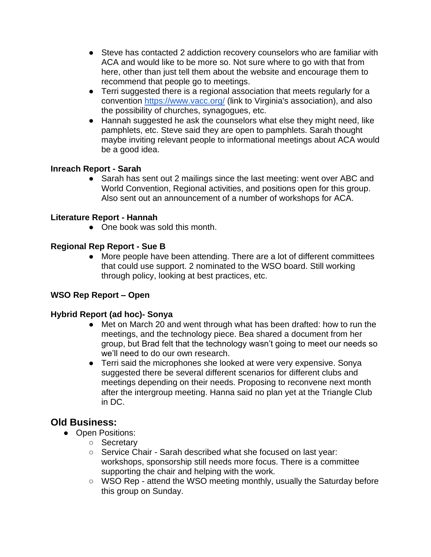- Steve has contacted 2 addiction recovery counselors who are familiar with ACA and would like to be more so. Not sure where to go with that from here, other than just tell them about the website and encourage them to recommend that people go to meetings.
- Terri suggested there is a regional association that meets regularly for a convention<https://www.vacc.org/> (link to Virginia's association), and also the possibility of churches, synagogues, etc.
- Hannah suggested he ask the counselors what else they might need, like pamphlets, etc. Steve said they are open to pamphlets. Sarah thought maybe inviting relevant people to informational meetings about ACA would be a good idea.

#### **Inreach Report - Sarah**

● Sarah has sent out 2 mailings since the last meeting: went over ABC and World Convention, Regional activities, and positions open for this group. Also sent out an announcement of a number of workshops for ACA.

### **Literature Report - Hannah**

• One book was sold this month.

### **Regional Rep Report - Sue B**

● More people have been attending. There are a lot of different committees that could use support. 2 nominated to the WSO board. Still working through policy, looking at best practices, etc.

### **WSO Rep Report – Open**

#### **Hybrid Report (ad hoc)- Sonya**

- Met on March 20 and went through what has been drafted: how to run the meetings, and the technology piece. Bea shared a document from her group, but Brad felt that the technology wasn't going to meet our needs so we'll need to do our own research.
- Terri said the microphones she looked at were very expensive. Sonya suggested there be several different scenarios for different clubs and meetings depending on their needs. Proposing to reconvene next month after the intergroup meeting. Hanna said no plan yet at the Triangle Club in DC.

## **Old Business:**

- Open Positions:
	- Secretary
	- Service Chair Sarah described what she focused on last year: workshops, sponsorship still needs more focus. There is a committee supporting the chair and helping with the work.
	- WSO Rep attend the WSO meeting monthly, usually the Saturday before this group on Sunday.